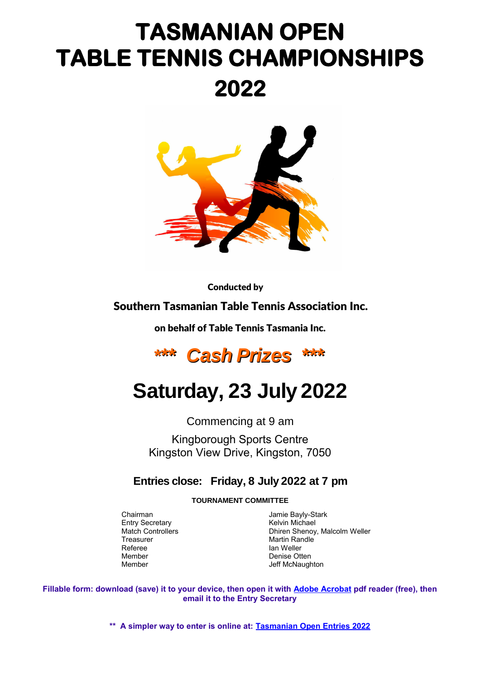# **TASMANIAN OPEN TABLE TENNIS CHAMPIONSHIPS 2022**



Conducted by

#### Southern Tasmanian Table Tennis Association Inc.

on behalf of Table Tennis Tasmania Inc.



## **Saturday, 23 July 2022**

Commencing at 9 am

Kingborough Sports Centre Kingston View Drive, Kingston, 7050

#### **Entries close: Friday, 8 July 2022 at 7 pm**

**TOURNAMENT COMMITTEE**

Entry Secretary **Kelvin Michael** Referee Ian Weller Member Denise Otten Denise Otten Nember 2014

Chairman **Chairman** Jamie Bayly-Stark Match Controllers Dhiren Shenoy, Malcolm Weller Martin Randle Jeff McNaughton

**Fillable form: download (save) it to your device, then open it with [Adobe Acrobat](https://acrobat.adobe.com/au/en/acrobat/pdf-reader.html) pdf reader (free), then email it to the Entry Secretary**

**\*\* A simpler way to enter is online at: [Tasmanian Open Entries 2022](https://forms.gle/GebmjTQfcDPVVxca7)**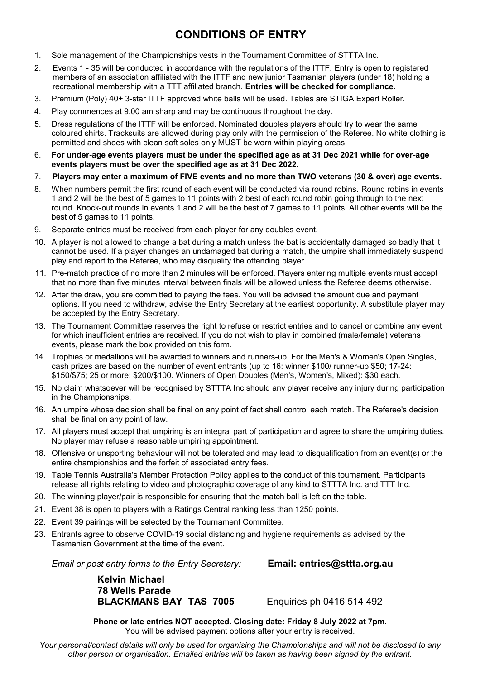#### **CONDITIONS OF ENTRY**

- 1. Sole management of the Championships vests in the Tournament Committee of STTTA Inc.
- 2. Events 1 35 will be conducted in accordance with the regulations of the ITTF. Entry is open to registered members of an association affiliated with the ITTF and new junior Tasmanian players (under 18) holding a recreational membership with a TTT affiliated branch. **Entries will be checked for compliance.**
- 3. Premium (Poly) 40+ 3-star ITTF approved white balls will be used. Tables are STIGA Expert Roller.
- 4. Play commences at 9.00 am sharp and may be continuous throughout the day.
- 5. Dress regulations of the ITTF will be enforced. Nominated doubles players should try to wear the same coloured shirts. Tracksuits are allowed during play only with the permission of the Referee. No white clothing is permitted and shoes with clean soft soles only MUST be worn within playing areas.
- 6. **For under-age events players must be under the specified age as at 31 Dec 2021 while for over-age events players must be over the specified age as at 31 Dec 2022.**
- 7. **Players may enter a maximum of FIVE events and no more than TWO veterans (30 & over) age events.**
- 8. When numbers permit the first round of each event will be conducted via round robins. Round robins in events 1 and 2 will be the best of 5 games to 11 points with 2 best of each round robin going through to the next round. Knock-out rounds in events 1 and 2 will be the best of 7 games to 11 points. All other events will be the best of 5 games to 11 points.
- 9. Separate entries must be received from each player for any doubles event.
- 10. A player is not allowed to change a bat during a match unless the bat is accidentally damaged so badly that it cannot be used. If a player changes an undamaged bat during a match, the umpire shall immediately suspend play and report to the Referee, who may disqualify the offending player.
- 11. Pre-match practice of no more than 2 minutes will be enforced. Players entering multiple events must accept that no more than five minutes interval between finals will be allowed unless the Referee deems otherwise.
- 12. After the draw, you are committed to paying the fees. You will be advised the amount due and payment options. If you need to withdraw, advise the Entry Secretary at the earliest opportunity. A substitute player may be accepted by the Entry Secretary.
- 13. The Tournament Committee reserves the right to refuse or restrict entries and to cancel or combine any event for which insufficient entries are received. If you do not wish to play in combined (male/female) veterans events, please mark the box provided on this form.
- 14. Trophies or medallions will be awarded to winners and runners-up. For the Men's & Women's Open Singles, cash prizes are based on the number of event entrants (up to 16: winner \$100/ runner-up \$50; 17-24: \$150/\$75; 25 or more: \$200/\$100. Winners of Open Doubles (Men's, Women's, Mixed): \$30 each.
- 15. No claim whatsoever will be recognised by STTTA Inc should any player receive any injury during participation in the Championships.
- 16. An umpire whose decision shall be final on any point of fact shall control each match. The Referee's decision shall be final on any point of law.
- 17. All players must accept that umpiring is an integral part of participation and agree to share the umpiring duties. No player may refuse a reasonable umpiring appointment.
- 18. Offensive or unsporting behaviour will not be tolerated and may lead to disqualification from an event(s) or the entire championships and the forfeit of associated entry fees.
- 19. Table Tennis Australia's Member Protection Policy applies to the conduct of this tournament. Participants release all rights relating to video and photographic coverage of any kind to STTTA Inc. and TTT Inc.
- 20. The winning player/pair is responsible for ensuring that the match ball is left on the table.
- 21. Event 38 is open to players with a Ratings Central ranking less than 1250 points.
- 22. Event 39 pairings will be selected by the Tournament Committee.
- 23. Entrants agree to observe COVID-19 social distancing and hygiene requirements as advised by the Tasmanian Government at the time of the event.

*Email or post entry forms to the Entry Secretary:* **Email: entries@sttta.org.au**

**Kelvin Michael 78 Wells Parade BLACKMANS BAY TAS 7005** Enquiries ph 0416 514 492

**Phone or late entries NOT accepted. Closing date: Friday 8 July 2022 at 7pm.** You will be advised payment options after your entry is received.

*Your personal/contact details will only be used for organising the Championships and will not be disclosed to any other person or organisation. Emailed entries will be taken as having been signed by the entrant.*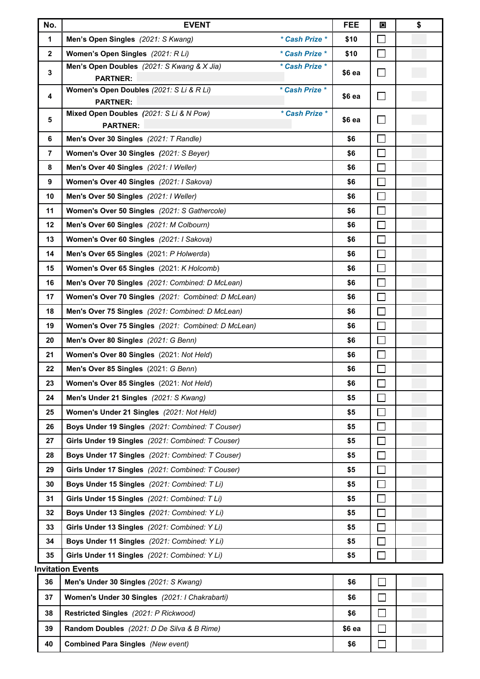| No.                      | <b>EVENT</b>                                                                  |        | 図                           | \$ |  |  |  |
|--------------------------|-------------------------------------------------------------------------------|--------|-----------------------------|----|--|--|--|
| 1                        | Men's Open Singles (2021: S Kwang)<br>* Cash Prize *                          | \$10   | $\sim$                      |    |  |  |  |
| $\overline{2}$           | Women's Open Singles (2021: R Li)<br>* Cash Prize *                           | \$10   | $\mathcal{L}_{\mathcal{A}}$ |    |  |  |  |
| 3                        | Men's Open Doubles (2021: S Kwang & X Jia)<br>* Cash Prize *                  | \$6 ea | $\blacksquare$              |    |  |  |  |
|                          | <b>PARTNER:</b><br>Women's Open Doubles (2021: S Li & R Li)<br>* Cash Prize * |        |                             |    |  |  |  |
| 4                        | <b>PARTNER:</b>                                                               | \$6 ea | $\Box$                      |    |  |  |  |
|                          | Mixed Open Doubles (2021: S Li & N Pow)<br>* Cash Prize *                     |        |                             |    |  |  |  |
| 5                        | <b>PARTNER:</b>                                                               | \$6 ea | $\sim$                      |    |  |  |  |
| 6                        | Men's Over 30 Singles (2021: T Randle)                                        | \$6    | $\Box$                      |    |  |  |  |
| $\overline{7}$           | Women's Over 30 Singles (2021: S Beyer)                                       | \$6    | $\Box$                      |    |  |  |  |
| 8                        | Men's Over 40 Singles (2021: I Weller)                                        | \$6    | $\Box$                      |    |  |  |  |
| 9                        | Women's Over 40 Singles (2021: I Sakova)                                      | \$6    | $\Box$                      |    |  |  |  |
| 10                       | Men's Over 50 Singles (2021: I Weller)                                        | \$6    | $\Box$                      |    |  |  |  |
| 11                       | Women's Over 50 Singles (2021: S Gathercole)                                  | \$6    | П                           |    |  |  |  |
| 12                       | Men's Over 60 Singles (2021: M Colbourn)                                      | \$6    | П                           |    |  |  |  |
| 13                       | Women's Over 60 Singles (2021: I Sakova)                                      | \$6    | $\Box$                      |    |  |  |  |
| 14                       | Men's Over 65 Singles (2021: P Holwerda)                                      | \$6    | $\overline{\phantom{a}}$    |    |  |  |  |
| 15                       | Women's Over 65 Singles (2021: K Holcomb)                                     | \$6    | $\Box$                      |    |  |  |  |
| 16                       | Men's Over 70 Singles (2021: Combined: D McLean)                              | \$6    | $\Box$                      |    |  |  |  |
| 17                       | Women's Over 70 Singles (2021: Combined: D McLean)                            | \$6    | П                           |    |  |  |  |
| 18                       | Men's Over 75 Singles (2021: Combined: D McLean)                              | \$6    | $\Box$                      |    |  |  |  |
| 19                       | Women's Over 75 Singles (2021: Combined: D McLean)                            | \$6    | $\Box$                      |    |  |  |  |
| 20                       | Men's Over 80 Singles (2021: G Benn)                                          | \$6    | $\Box$                      |    |  |  |  |
| 21                       | Women's Over 80 Singles (2021: Not Held)                                      | \$6    | $\Box$                      |    |  |  |  |
| 22                       | Men's Over 85 Singles (2021: G Benn)                                          | \$6    | $\mathcal{L}_{\mathcal{A}}$ |    |  |  |  |
| 23                       | Women's Over 85 Singles (2021: Not Held)                                      | \$6    |                             |    |  |  |  |
| 24                       | Men's Under 21 Singles (2021: S Kwang)                                        | \$5    |                             |    |  |  |  |
| 25                       | Women's Under 21 Singles (2021: Not Held)                                     | \$5    | $\mathcal{L}_{\mathcal{A}}$ |    |  |  |  |
| 26                       | Boys Under 19 Singles (2021: Combined: T Couser)                              | \$5    |                             |    |  |  |  |
| 27                       | Girls Under 19 Singles (2021: Combined: T Couser)                             | \$5    | $\mathcal{L}_{\mathcal{A}}$ |    |  |  |  |
| 28                       | Boys Under 17 Singles (2021: Combined: T Couser)                              | \$5    | $\sim$                      |    |  |  |  |
| 29                       | Girls Under 17 Singles (2021: Combined: T Couser)                             | \$5    |                             |    |  |  |  |
| 30                       | Boys Under 15 Singles (2021: Combined: T Li)                                  | \$5    | $\sim$                      |    |  |  |  |
| 31                       | Girls Under 15 Singles (2021: Combined: T Li)                                 | \$5    |                             |    |  |  |  |
| 32                       | Boys Under 13 Singles (2021: Combined: Y Li)                                  | \$5    | $\mathcal{L}_{\mathcal{A}}$ |    |  |  |  |
| 33                       | Girls Under 13 Singles (2021: Combined: Y Li)                                 | \$5    | $\sim$                      |    |  |  |  |
| 34                       | Boys Under 11 Singles (2021: Combined: Y Li)                                  | \$5    | $\Box$                      |    |  |  |  |
| 35                       | Girls Under 11 Singles (2021: Combined: Y Li)                                 | \$5    | n.                          |    |  |  |  |
| <b>Invitation Events</b> |                                                                               |        |                             |    |  |  |  |
| 36                       | Men's Under 30 Singles (2021: S Kwang)                                        | \$6    | $\Box$                      |    |  |  |  |
| 37                       | Women's Under 30 Singles (2021: I Chakrabarti)                                | \$6    | П                           |    |  |  |  |
| 38                       | Restricted Singles (2021: P Rickwood)                                         | \$6    | П                           |    |  |  |  |
| 39                       | Random Doubles (2021: D De Silva & B Rime)                                    | \$6 ea | П                           |    |  |  |  |
| 40                       | Combined Para Singles (New event)                                             | \$6    | $\Box$                      |    |  |  |  |